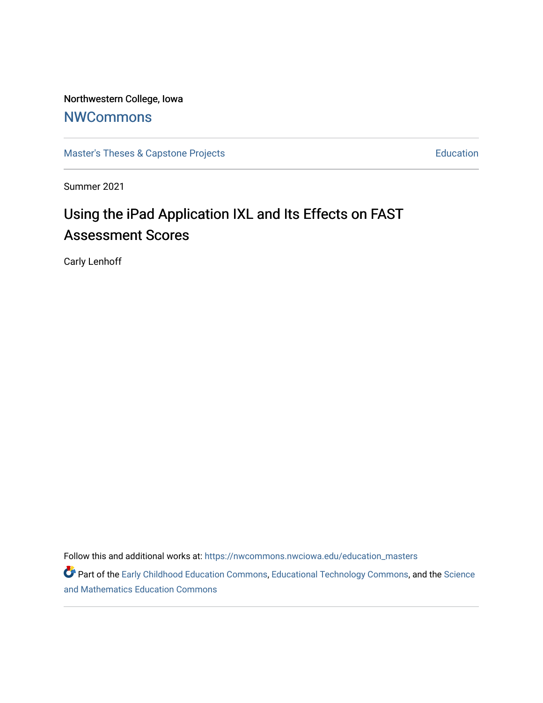Northwestern College, Iowa

# **[NWCommons](https://nwcommons.nwciowa.edu/)**

[Master's Theses & Capstone Projects](https://nwcommons.nwciowa.edu/education_masters) **Education** Education

Summer 2021

# Using the iPad Application IXL and Its Effects on FAST Assessment Scores

Carly Lenhoff

Follow this and additional works at: [https://nwcommons.nwciowa.edu/education\\_masters](https://nwcommons.nwciowa.edu/education_masters?utm_source=nwcommons.nwciowa.edu%2Feducation_masters%2F327&utm_medium=PDF&utm_campaign=PDFCoverPages)

Part of the [Early Childhood Education Commons,](http://network.bepress.com/hgg/discipline/1377?utm_source=nwcommons.nwciowa.edu%2Feducation_masters%2F327&utm_medium=PDF&utm_campaign=PDFCoverPages) [Educational Technology Commons,](http://network.bepress.com/hgg/discipline/1415?utm_source=nwcommons.nwciowa.edu%2Feducation_masters%2F327&utm_medium=PDF&utm_campaign=PDFCoverPages) and the Science [and Mathematics Education Commons](http://network.bepress.com/hgg/discipline/800?utm_source=nwcommons.nwciowa.edu%2Feducation_masters%2F327&utm_medium=PDF&utm_campaign=PDFCoverPages)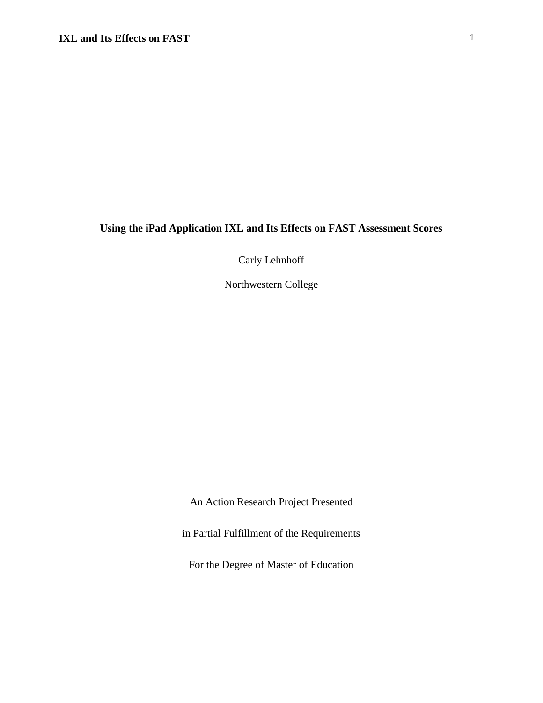# **Using the iPad Application IXL and Its Effects on FAST Assessment Scores**

Carly Lehnhoff

Northwestern College

An Action Research Project Presented

in Partial Fulfillment of the Requirements

For the Degree of Master of Education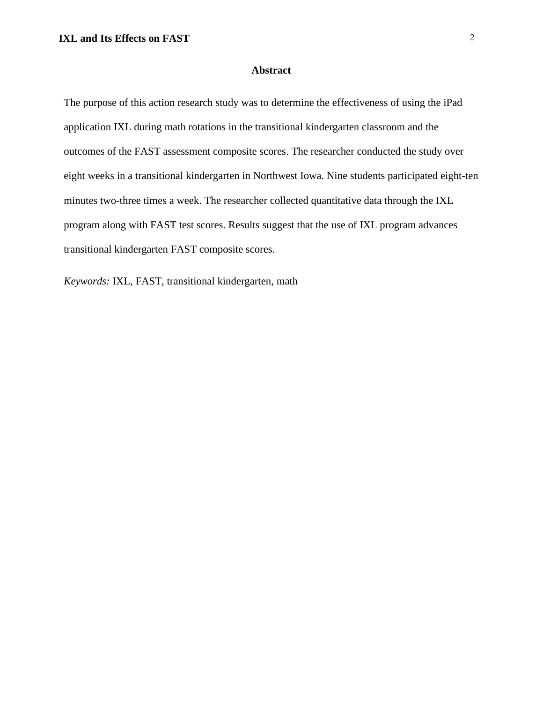### **Abstract**

<span id="page-2-0"></span>The purpose of this action research study was to determine the effectiveness of using the iPad application IXL during math rotations in the transitional kindergarten classroom and the outcomes of the FAST assessment composite scores. The researcher conducted the study over eight weeks in a transitional kindergarten in Northwest Iowa. Nine students participated eight-ten minutes two-three times a week. The researcher collected quantitative data through the IXL program along with FAST test scores. Results suggest that the use of IXL program advances transitional kindergarten FAST composite scores.

*Keywords:* IXL, FAST, transitional kindergarten, math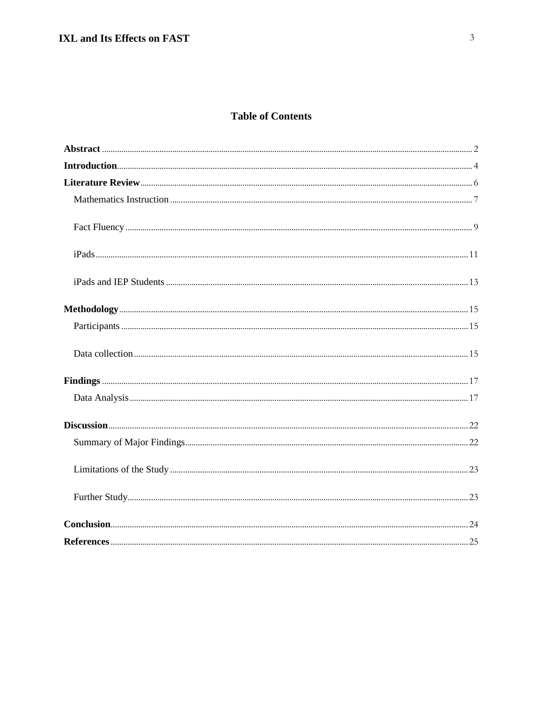# **Table of Contents**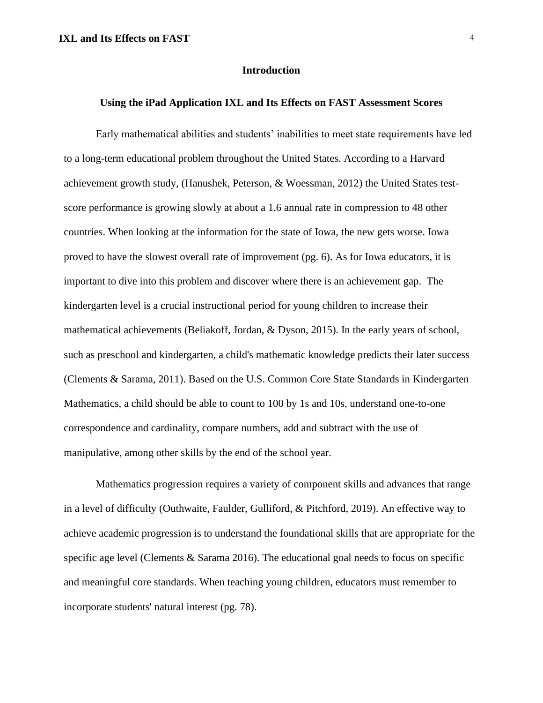#### **Introduction**

# <span id="page-4-0"></span>**Using the iPad Application IXL and Its Effects on FAST Assessment Scores**

Early mathematical abilities and students' inabilities to meet state requirements have led to a long-term educational problem throughout the United States. According to a Harvard achievement growth study, (Hanushek, Peterson, & Woessman, 2012) the United States testscore performance is growing slowly at about a 1.6 annual rate in compression to 48 other countries. When looking at the information for the state of Iowa, the new gets worse. Iowa proved to have the slowest overall rate of improvement (pg. 6). As for Iowa educators, it is important to dive into this problem and discover where there is an achievement gap. The kindergarten level is a crucial instructional period for young children to increase their mathematical achievements (Beliakoff, Jordan, & Dyson, 2015). In the early years of school, such as preschool and kindergarten, a child's mathematic knowledge predicts their later success (Clements & Sarama, 2011). Based on the U.S. Common Core State Standards in Kindergarten Mathematics, a child should be able to count to 100 by 1s and 10s, understand one-to-one correspondence and cardinality, compare numbers, add and subtract with the use of manipulative, among other skills by the end of the school year.

Mathematics progression requires a variety of component skills and advances that range in a level of difficulty (Outhwaite, Faulder, Gulliford, & Pitchford, 2019). An effective way to achieve academic progression is to understand the foundational skills that are appropriate for the specific age level (Clements & Sarama 2016). The educational goal needs to focus on specific and meaningful core standards. When teaching young children, educators must remember to incorporate students' natural interest (pg. 78).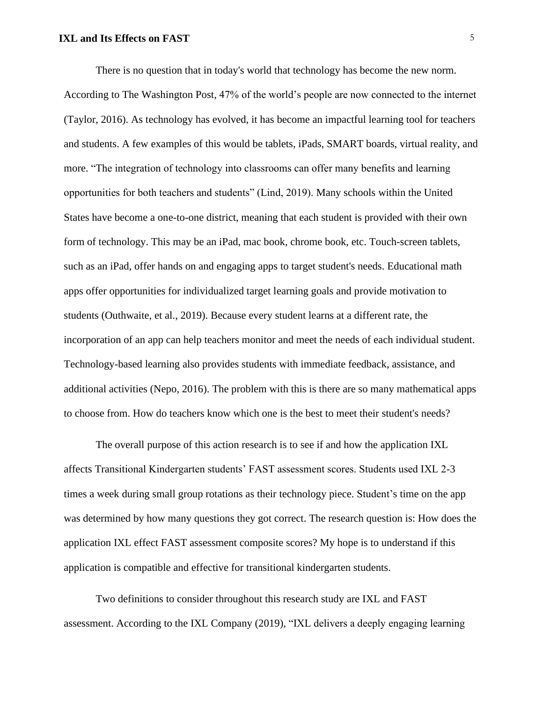There is no question that in today's world that technology has become the new norm. According to The Washington Post, 47% of the world's people are now connected to the internet (Taylor, 2016). As technology has evolved, it has become an impactful learning tool for teachers and students. A few examples of this would be tablets, iPads, SMART boards, virtual reality, and more. "The integration of technology into classrooms can offer many benefits and learning opportunities for both teachers and students" (Lind, 2019). Many schools within the United States have become a one-to-one district, meaning that each student is provided with their own form of technology. This may be an iPad, mac book, chrome book, etc. Touch-screen tablets, such as an iPad, offer hands on and engaging apps to target student's needs. Educational math apps offer opportunities for individualized target learning goals and provide motivation to students (Outhwaite, et al., 2019). Because every student learns at a different rate, the incorporation of an app can help teachers monitor and meet the needs of each individual student. Technology-based learning also provides students with immediate feedback, assistance, and additional activities (Nepo, 2016). The problem with this is there are so many mathematical apps to choose from. How do teachers know which one is the best to meet their student's needs?

The overall purpose of this action research is to see if and how the application IXL affects Transitional Kindergarten students' FAST assessment scores. Students used IXL 2-3 times a week during small group rotations as their technology piece. Student's time on the app was determined by how many questions they got correct. The research question is: How does the application IXL effect FAST assessment composite scores? My hope is to understand if this application is compatible and effective for transitional kindergarten students.

Two definitions to consider throughout this research study are IXL and FAST assessment. According to the IXL Company (2019), "IXL delivers a deeply engaging learning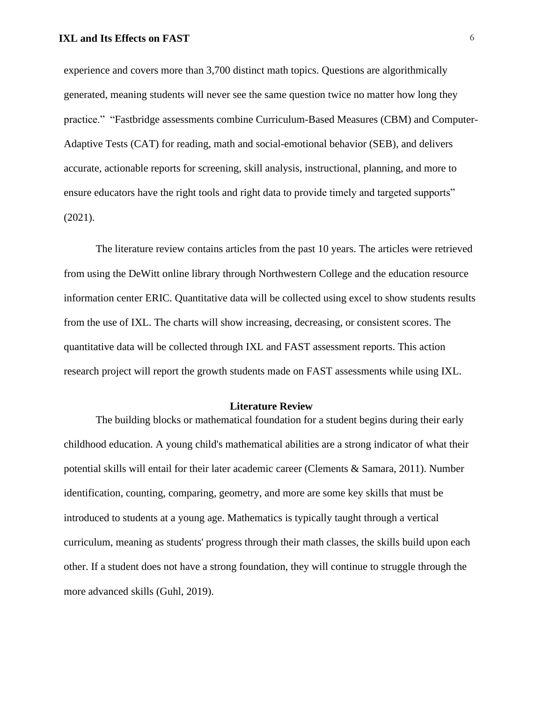experience and covers more than 3,700 distinct math topics. Questions are algorithmically generated, meaning students will never see the same question twice no matter how long they practice." "Fastbridge assessments combine Curriculum-Based Measures (CBM) and Computer-Adaptive Tests (CAT) for reading, math and social-emotional behavior (SEB), and delivers accurate, actionable reports for screening, skill analysis, instructional, planning, and more to ensure educators have the right tools and right data to provide timely and targeted supports" (2021).

The literature review contains articles from the past 10 years. The articles were retrieved from using the DeWitt online library through Northwestern College and the education resource information center ERIC. Quantitative data will be collected using excel to show students results from the use of IXL. The charts will show increasing, decreasing, or consistent scores. The quantitative data will be collected through IXL and FAST assessment reports. This action research project will report the growth students made on FAST assessments while using IXL.

#### **Literature Review**

<span id="page-6-0"></span>The building blocks or mathematical foundation for a student begins during their early childhood education. A young child's mathematical abilities are a strong indicator of what their potential skills will entail for their later academic career (Clements & Samara, 2011). Number identification, counting, comparing, geometry, and more are some key skills that must be introduced to students at a young age. Mathematics is typically taught through a vertical curriculum, meaning as students' progress through their math classes, the skills build upon each other. If a student does not have a strong foundation, they will continue to struggle through the more advanced skills (Guhl, 2019).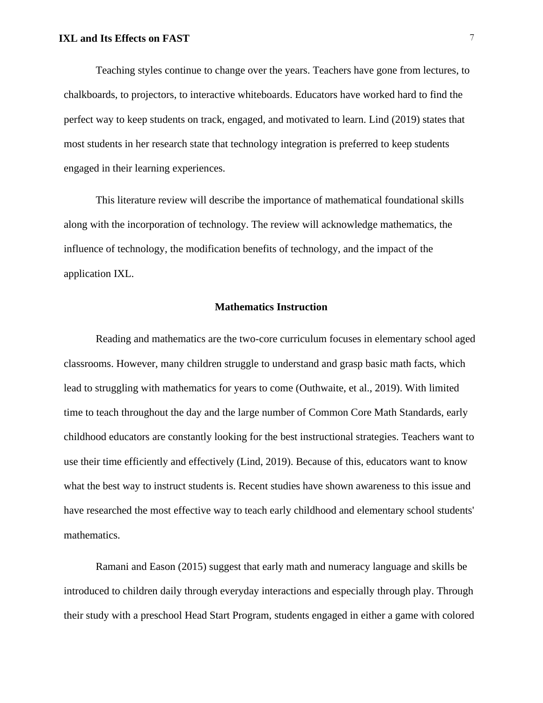Teaching styles continue to change over the years. Teachers have gone from lectures, to chalkboards, to projectors, to interactive whiteboards. Educators have worked hard to find the perfect way to keep students on track, engaged, and motivated to learn. Lind (2019) states that most students in her research state that technology integration is preferred to keep students engaged in their learning experiences.

This literature review will describe the importance of mathematical foundational skills along with the incorporation of technology. The review will acknowledge mathematics, the influence of technology, the modification benefits of technology, and the impact of the application IXL.

#### **Mathematics Instruction**

<span id="page-7-0"></span>Reading and mathematics are the two-core curriculum focuses in elementary school aged classrooms. However, many children struggle to understand and grasp basic math facts, which lead to struggling with mathematics for years to come (Outhwaite, et al., 2019). With limited time to teach throughout the day and the large number of Common Core Math Standards, early childhood educators are constantly looking for the best instructional strategies. Teachers want to use their time efficiently and effectively (Lind, 2019). Because of this, educators want to know what the best way to instruct students is. Recent studies have shown awareness to this issue and have researched the most effective way to teach early childhood and elementary school students' mathematics.

Ramani and Eason (2015) suggest that early math and numeracy language and skills be introduced to children daily through everyday interactions and especially through play. Through their study with a preschool Head Start Program, students engaged in either a game with colored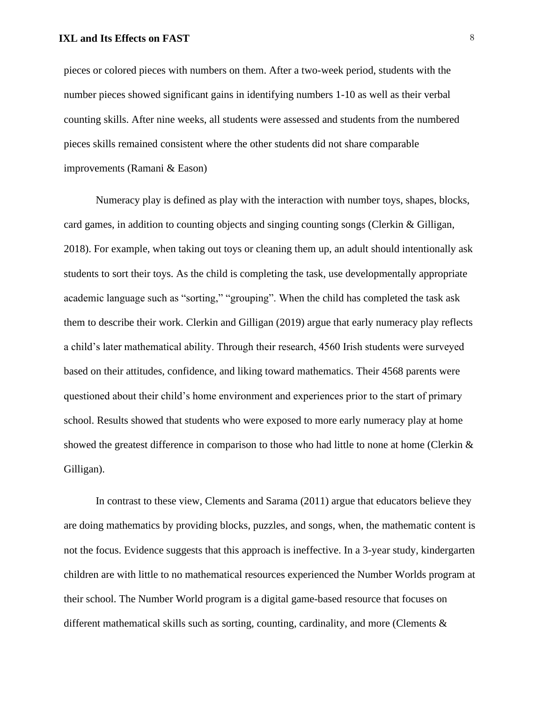pieces or colored pieces with numbers on them. After a two-week period, students with the number pieces showed significant gains in identifying numbers 1-10 as well as their verbal counting skills. After nine weeks, all students were assessed and students from the numbered pieces skills remained consistent where the other students did not share comparable improvements (Ramani & Eason)

Numeracy play is defined as play with the interaction with number toys, shapes, blocks, card games, in addition to counting objects and singing counting songs (Clerkin & Gilligan, 2018). For example, when taking out toys or cleaning them up, an adult should intentionally ask students to sort their toys. As the child is completing the task, use developmentally appropriate academic language such as "sorting," "grouping". When the child has completed the task ask them to describe their work. Clerkin and Gilligan (2019) argue that early numeracy play reflects a child's later mathematical ability. Through their research, 4560 Irish students were surveyed based on their attitudes, confidence, and liking toward mathematics. Their 4568 parents were questioned about their child's home environment and experiences prior to the start of primary school. Results showed that students who were exposed to more early numeracy play at home showed the greatest difference in comparison to those who had little to none at home (Clerkin  $\&$ Gilligan).

In contrast to these view, Clements and Sarama (2011) argue that educators believe they are doing mathematics by providing blocks, puzzles, and songs, when, the mathematic content is not the focus. Evidence suggests that this approach is ineffective. In a 3-year study, kindergarten children are with little to no mathematical resources experienced the Number Worlds program at their school. The Number World program is a digital game-based resource that focuses on different mathematical skills such as sorting, counting, cardinality, and more (Clements  $\&$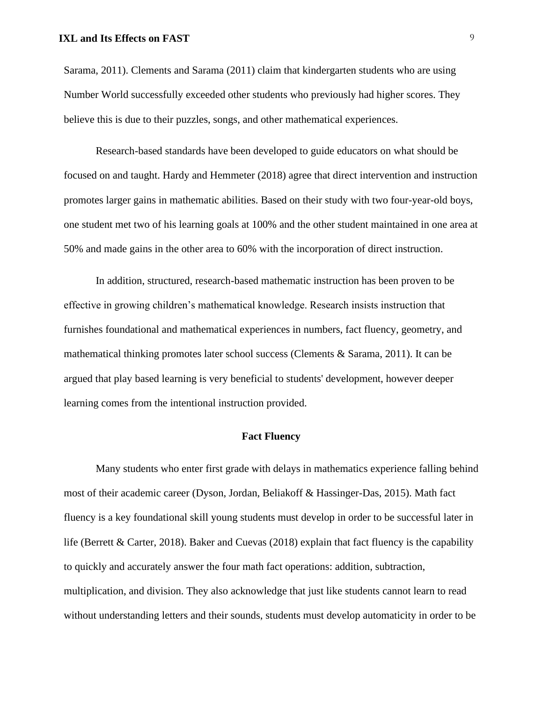Sarama, 2011). Clements and Sarama (2011) claim that kindergarten students who are using Number World successfully exceeded other students who previously had higher scores. They believe this is due to their puzzles, songs, and other mathematical experiences.

Research-based standards have been developed to guide educators on what should be focused on and taught. Hardy and Hemmeter (2018) agree that direct intervention and instruction promotes larger gains in mathematic abilities. Based on their study with two four-year-old boys, one student met two of his learning goals at 100% and the other student maintained in one area at 50% and made gains in the other area to 60% with the incorporation of direct instruction.

In addition, structured, research-based mathematic instruction has been proven to be effective in growing children's mathematical knowledge. Research insists instruction that furnishes foundational and mathematical experiences in numbers, fact fluency, geometry, and mathematical thinking promotes later school success (Clements & Sarama, 2011). It can be argued that play based learning is very beneficial to students' development, however deeper learning comes from the intentional instruction provided.

# **Fact Fluency**

<span id="page-9-0"></span>Many students who enter first grade with delays in mathematics experience falling behind most of their academic career (Dyson, Jordan, Beliakoff & Hassinger-Das, 2015). Math fact fluency is a key foundational skill young students must develop in order to be successful later in life (Berrett & Carter, 2018). Baker and Cuevas (2018) explain that fact fluency is the capability to quickly and accurately answer the four math fact operations: addition, subtraction, multiplication, and division. They also acknowledge that just like students cannot learn to read without understanding letters and their sounds, students must develop automaticity in order to be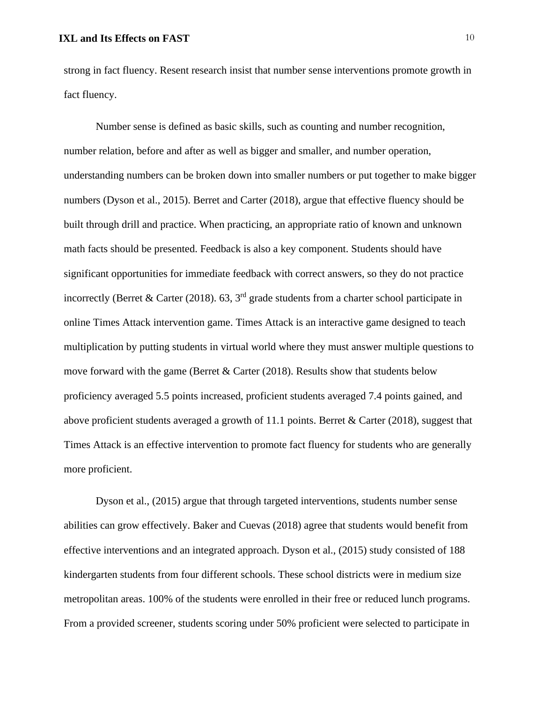strong in fact fluency. Resent research insist that number sense interventions promote growth in fact fluency.

Number sense is defined as basic skills, such as counting and number recognition, number relation, before and after as well as bigger and smaller, and number operation, understanding numbers can be broken down into smaller numbers or put together to make bigger numbers (Dyson et al., 2015). Berret and Carter (2018), argue that effective fluency should be built through drill and practice. When practicing, an appropriate ratio of known and unknown math facts should be presented. Feedback is also a key component. Students should have significant opportunities for immediate feedback with correct answers, so they do not practice incorrectly (Berret & Carter (2018). 63,  $3<sup>rd</sup>$  grade students from a charter school participate in online Times Attack intervention game. Times Attack is an interactive game designed to teach multiplication by putting students in virtual world where they must answer multiple questions to move forward with the game (Berret  $&$  Carter (2018). Results show that students below proficiency averaged 5.5 points increased, proficient students averaged 7.4 points gained, and above proficient students averaged a growth of 11.1 points. Berret & Carter (2018), suggest that Times Attack is an effective intervention to promote fact fluency for students who are generally more proficient.

Dyson et al., (2015) argue that through targeted interventions, students number sense abilities can grow effectively. Baker and Cuevas (2018) agree that students would benefit from effective interventions and an integrated approach. Dyson et al., (2015) study consisted of 188 kindergarten students from four different schools. These school districts were in medium size metropolitan areas. 100% of the students were enrolled in their free or reduced lunch programs. From a provided screener, students scoring under 50% proficient were selected to participate in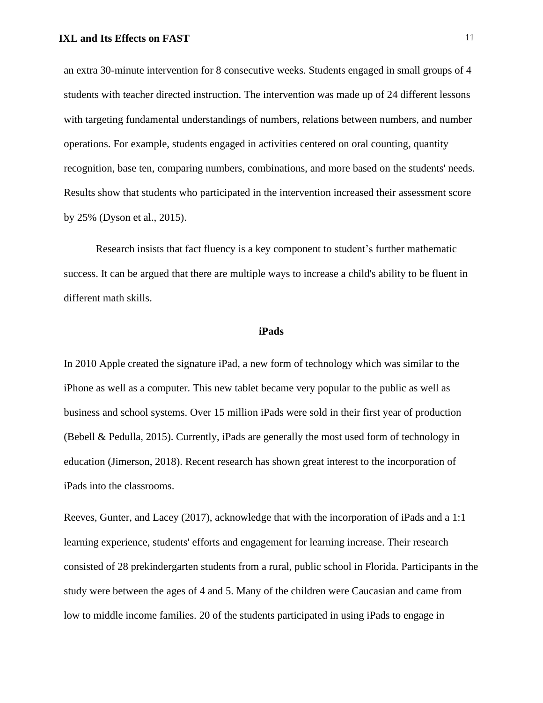an extra 30-minute intervention for 8 consecutive weeks. Students engaged in small groups of 4 students with teacher directed instruction. The intervention was made up of 24 different lessons with targeting fundamental understandings of numbers, relations between numbers, and number operations. For example, students engaged in activities centered on oral counting, quantity recognition, base ten, comparing numbers, combinations, and more based on the students' needs. Results show that students who participated in the intervention increased their assessment score by 25% (Dyson et al., 2015).

Research insists that fact fluency is a key component to student's further mathematic success. It can be argued that there are multiple ways to increase a child's ability to be fluent in different math skills.

#### **iPads**

<span id="page-11-0"></span>In 2010 Apple created the signature iPad, a new form of technology which was similar to the iPhone as well as a computer. This new tablet became very popular to the public as well as business and school systems. Over 15 million iPads were sold in their first year of production (Bebell & Pedulla, 2015). Currently, iPads are generally the most used form of technology in education (Jimerson, 2018). Recent research has shown great interest to the incorporation of iPads into the classrooms.

Reeves, Gunter, and Lacey (2017), acknowledge that with the incorporation of iPads and a 1:1 learning experience, students' efforts and engagement for learning increase. Their research consisted of 28 prekindergarten students from a rural, public school in Florida. Participants in the study were between the ages of 4 and 5. Many of the children were Caucasian and came from low to middle income families. 20 of the students participated in using iPads to engage in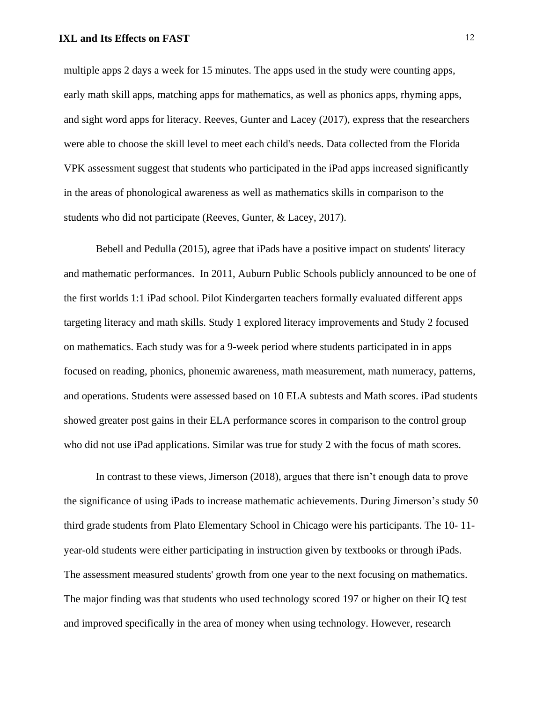multiple apps 2 days a week for 15 minutes. The apps used in the study were counting apps, early math skill apps, matching apps for mathematics, as well as phonics apps, rhyming apps, and sight word apps for literacy. Reeves, Gunter and Lacey (2017), express that the researchers were able to choose the skill level to meet each child's needs. Data collected from the Florida VPK assessment suggest that students who participated in the iPad apps increased significantly in the areas of phonological awareness as well as mathematics skills in comparison to the students who did not participate (Reeves, Gunter, & Lacey, 2017).

Bebell and Pedulla (2015), agree that iPads have a positive impact on students' literacy and mathematic performances. In 2011, Auburn Public Schools publicly announced to be one of the first worlds 1:1 iPad school. Pilot Kindergarten teachers formally evaluated different apps targeting literacy and math skills. Study 1 explored literacy improvements and Study 2 focused on mathematics. Each study was for a 9-week period where students participated in in apps focused on reading, phonics, phonemic awareness, math measurement, math numeracy, patterns, and operations. Students were assessed based on 10 ELA subtests and Math scores. iPad students showed greater post gains in their ELA performance scores in comparison to the control group who did not use iPad applications. Similar was true for study 2 with the focus of math scores.

In contrast to these views, Jimerson (2018), argues that there isn't enough data to prove the significance of using iPads to increase mathematic achievements. During Jimerson's study 50 third grade students from Plato Elementary School in Chicago were his participants. The 10- 11 year-old students were either participating in instruction given by textbooks or through iPads. The assessment measured students' growth from one year to the next focusing on mathematics. The major finding was that students who used technology scored 197 or higher on their IQ test and improved specifically in the area of money when using technology. However, research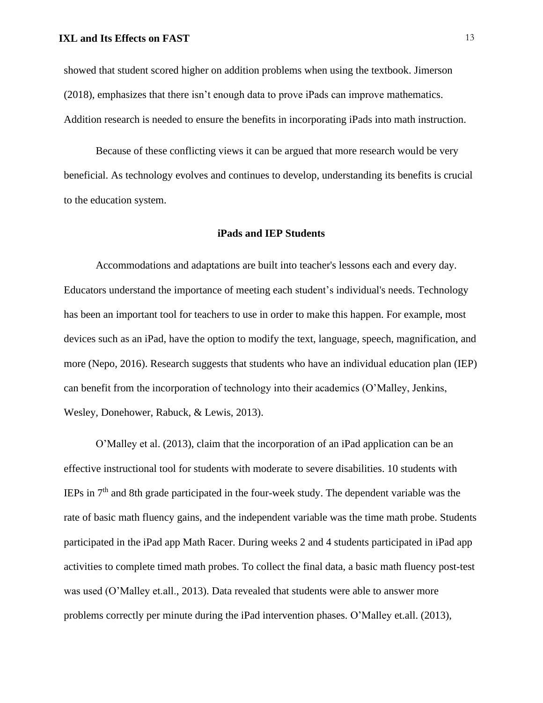showed that student scored higher on addition problems when using the textbook. Jimerson (2018), emphasizes that there isn't enough data to prove iPads can improve mathematics. Addition research is needed to ensure the benefits in incorporating iPads into math instruction.

Because of these conflicting views it can be argued that more research would be very beneficial. As technology evolves and continues to develop, understanding its benefits is crucial to the education system.

#### **iPads and IEP Students**

<span id="page-13-0"></span>Accommodations and adaptations are built into teacher's lessons each and every day. Educators understand the importance of meeting each student's individual's needs. Technology has been an important tool for teachers to use in order to make this happen. For example, most devices such as an iPad, have the option to modify the text, language, speech, magnification, and more (Nepo, 2016). Research suggests that students who have an individual education plan (IEP) can benefit from the incorporation of technology into their academics (O'Malley, Jenkins, Wesley, Donehower, Rabuck, & Lewis, 2013).

O'Malley et al. (2013), claim that the incorporation of an iPad application can be an effective instructional tool for students with moderate to severe disabilities. 10 students with IEPs in 7th and 8th grade participated in the four-week study. The dependent variable was the rate of basic math fluency gains, and the independent variable was the time math probe. Students participated in the iPad app Math Racer. During weeks 2 and 4 students participated in iPad app activities to complete timed math probes. To collect the final data, a basic math fluency post-test was used (O'Malley et.all., 2013). Data revealed that students were able to answer more problems correctly per minute during the iPad intervention phases. O'Malley et.all. (2013),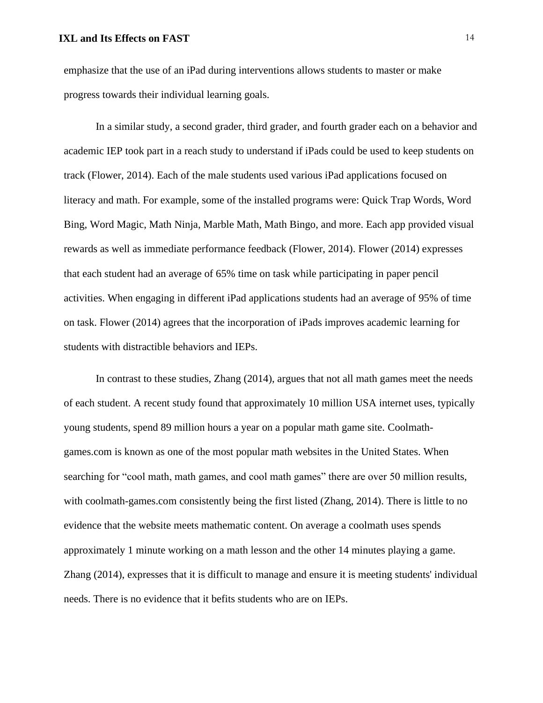emphasize that the use of an iPad during interventions allows students to master or make progress towards their individual learning goals.

In a similar study, a second grader, third grader, and fourth grader each on a behavior and academic IEP took part in a reach study to understand if iPads could be used to keep students on track (Flower, 2014). Each of the male students used various iPad applications focused on literacy and math. For example, some of the installed programs were: Quick Trap Words, Word Bing, Word Magic, Math Ninja, Marble Math, Math Bingo, and more. Each app provided visual rewards as well as immediate performance feedback (Flower, 2014). Flower (2014) expresses that each student had an average of 65% time on task while participating in paper pencil activities. When engaging in different iPad applications students had an average of 95% of time on task. Flower (2014) agrees that the incorporation of iPads improves academic learning for students with distractible behaviors and IEPs.

In contrast to these studies, Zhang (2014), argues that not all math games meet the needs of each student. A recent study found that approximately 10 million USA internet uses, typically young students, spend 89 million hours a year on a popular math game site. Coolmathgames.com is known as one of the most popular math websites in the United States. When searching for "cool math, math games, and cool math games" there are over 50 million results, with coolmath-games.com consistently being the first listed (Zhang, 2014). There is little to no evidence that the website meets mathematic content. On average a coolmath uses spends approximately 1 minute working on a math lesson and the other 14 minutes playing a game. Zhang (2014), expresses that it is difficult to manage and ensure it is meeting students' individual needs. There is no evidence that it befits students who are on IEPs.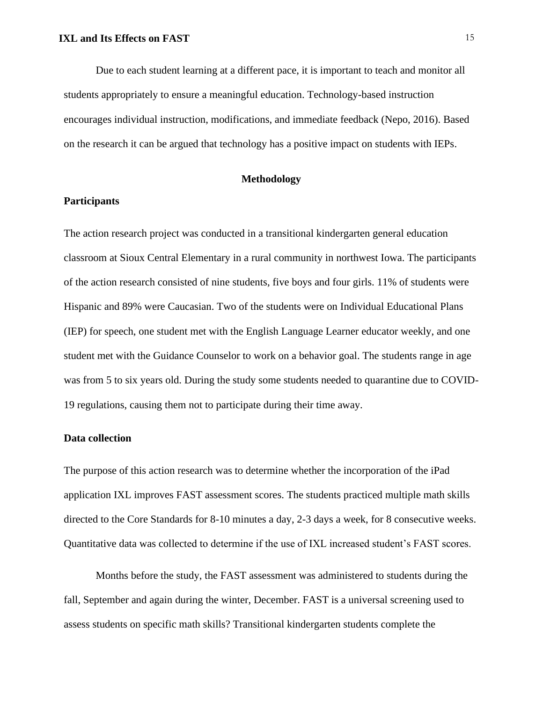Due to each student learning at a different pace, it is important to teach and monitor all students appropriately to ensure a meaningful education. Technology-based instruction encourages individual instruction, modifications, and immediate feedback (Nepo, 2016). Based on the research it can be argued that technology has a positive impact on students with IEPs.

# **Methodology**

#### <span id="page-15-1"></span><span id="page-15-0"></span>**Participants**

The action research project was conducted in a transitional kindergarten general education classroom at Sioux Central Elementary in a rural community in northwest Iowa. The participants of the action research consisted of nine students, five boys and four girls. 11% of students were Hispanic and 89% were Caucasian. Two of the students were on Individual Educational Plans (IEP) for speech, one student met with the English Language Learner educator weekly, and one student met with the Guidance Counselor to work on a behavior goal. The students range in age was from 5 to six years old. During the study some students needed to quarantine due to COVID-19 regulations, causing them not to participate during their time away.

#### <span id="page-15-2"></span>**Data collection**

The purpose of this action research was to determine whether the incorporation of the iPad application IXL improves FAST assessment scores. The students practiced multiple math skills directed to the Core Standards for 8-10 minutes a day, 2-3 days a week, for 8 consecutive weeks. Quantitative data was collected to determine if the use of IXL increased student's FAST scores.

Months before the study, the FAST assessment was administered to students during the fall, September and again during the winter, December. FAST is a universal screening used to assess students on specific math skills? Transitional kindergarten students complete the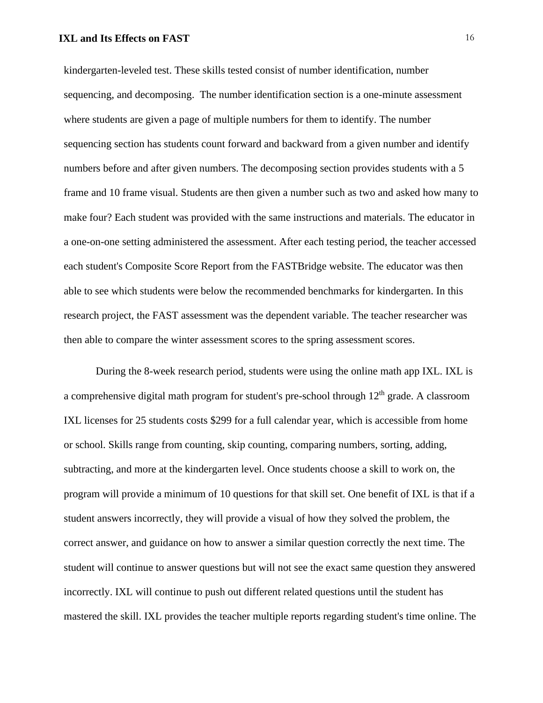kindergarten-leveled test. These skills tested consist of number identification, number sequencing, and decomposing. The number identification section is a one-minute assessment where students are given a page of multiple numbers for them to identify. The number sequencing section has students count forward and backward from a given number and identify numbers before and after given numbers. The decomposing section provides students with a 5 frame and 10 frame visual. Students are then given a number such as two and asked how many to make four? Each student was provided with the same instructions and materials. The educator in a one-on-one setting administered the assessment. After each testing period, the teacher accessed each student's Composite Score Report from the FASTBridge website. The educator was then able to see which students were below the recommended benchmarks for kindergarten. In this research project, the FAST assessment was the dependent variable. The teacher researcher was then able to compare the winter assessment scores to the spring assessment scores.

During the 8-week research period, students were using the online math app IXL. IXL is a comprehensive digital math program for student's pre-school through  $12<sup>th</sup>$  grade. A classroom IXL licenses for 25 students costs \$299 for a full calendar year, which is accessible from home or school. Skills range from counting, skip counting, comparing numbers, sorting, adding, subtracting, and more at the kindergarten level. Once students choose a skill to work on, the program will provide a minimum of 10 questions for that skill set. One benefit of IXL is that if a student answers incorrectly, they will provide a visual of how they solved the problem, the correct answer, and guidance on how to answer a similar question correctly the next time. The student will continue to answer questions but will not see the exact same question they answered incorrectly. IXL will continue to push out different related questions until the student has mastered the skill. IXL provides the teacher multiple reports regarding student's time online. The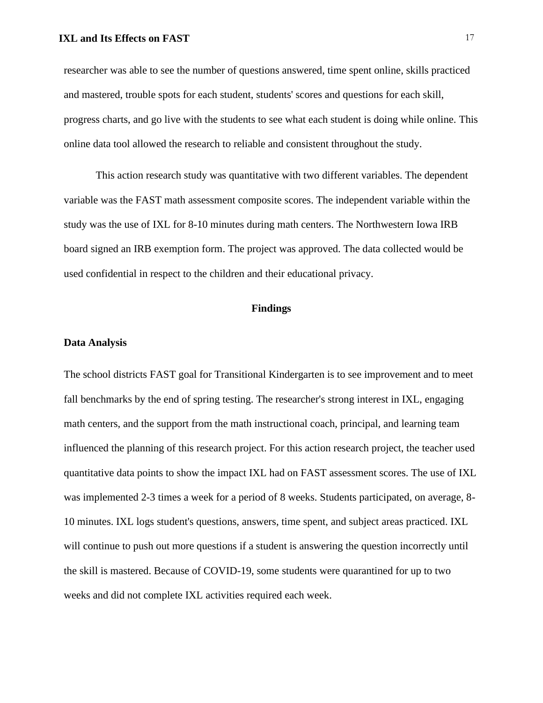researcher was able to see the number of questions answered, time spent online, skills practiced and mastered, trouble spots for each student, students' scores and questions for each skill, progress charts, and go live with the students to see what each student is doing while online. This online data tool allowed the research to reliable and consistent throughout the study.

This action research study was quantitative with two different variables. The dependent variable was the FAST math assessment composite scores. The independent variable within the study was the use of IXL for 8-10 minutes during math centers. The Northwestern Iowa IRB board signed an IRB exemption form. The project was approved. The data collected would be used confidential in respect to the children and their educational privacy.

#### **Findings**

#### <span id="page-17-1"></span><span id="page-17-0"></span>**Data Analysis**

The school districts FAST goal for Transitional Kindergarten is to see improvement and to meet fall benchmarks by the end of spring testing. The researcher's strong interest in IXL, engaging math centers, and the support from the math instructional coach, principal, and learning team influenced the planning of this research project. For this action research project, the teacher used quantitative data points to show the impact IXL had on FAST assessment scores. The use of IXL was implemented 2-3 times a week for a period of 8 weeks. Students participated, on average, 8- 10 minutes. IXL logs student's questions, answers, time spent, and subject areas practiced. IXL will continue to push out more questions if a student is answering the question incorrectly until the skill is mastered. Because of COVID-19, some students were quarantined for up to two weeks and did not complete IXL activities required each week.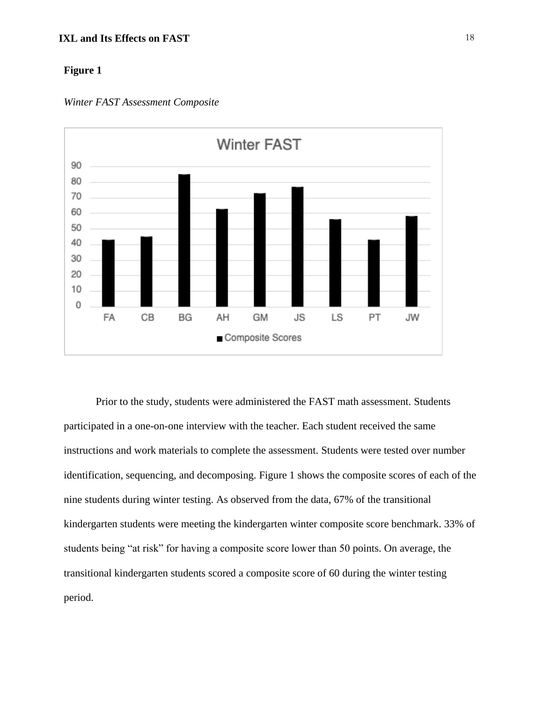



Prior to the study, students were administered the FAST math assessment. Students participated in a one-on-one interview with the teacher. Each student received the same instructions and work materials to complete the assessment. Students were tested over number identification, sequencing, and decomposing. Figure 1 shows the composite scores of each of the nine students during winter testing. As observed from the data, 67% of the transitional kindergarten students were meeting the kindergarten winter composite score benchmark. 33% of students being "at risk" for having a composite score lower than 50 points. On average, the transitional kindergarten students scored a composite score of 60 during the winter testing period.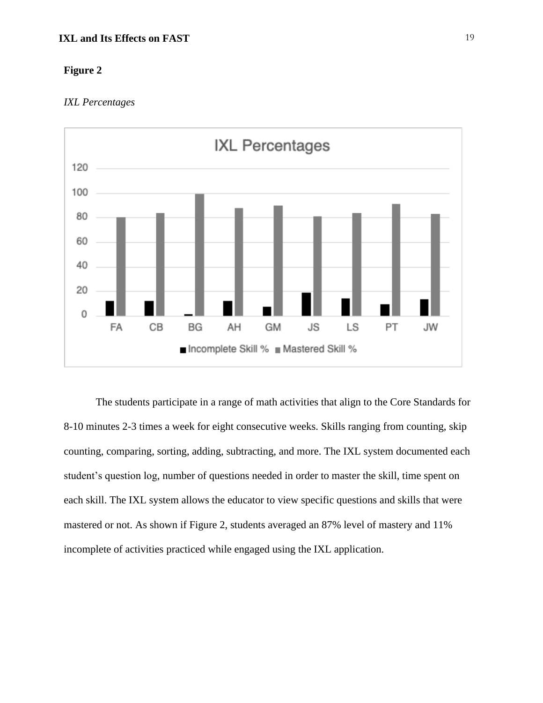# *IXL Percentages*



The students participate in a range of math activities that align to the Core Standards for 8-10 minutes 2-3 times a week for eight consecutive weeks. Skills ranging from counting, skip counting, comparing, sorting, adding, subtracting, and more. The IXL system documented each student's question log, number of questions needed in order to master the skill, time spent on each skill. The IXL system allows the educator to view specific questions and skills that were mastered or not. As shown if Figure 2, students averaged an 87% level of mastery and 11% incomplete of activities practiced while engaged using the IXL application.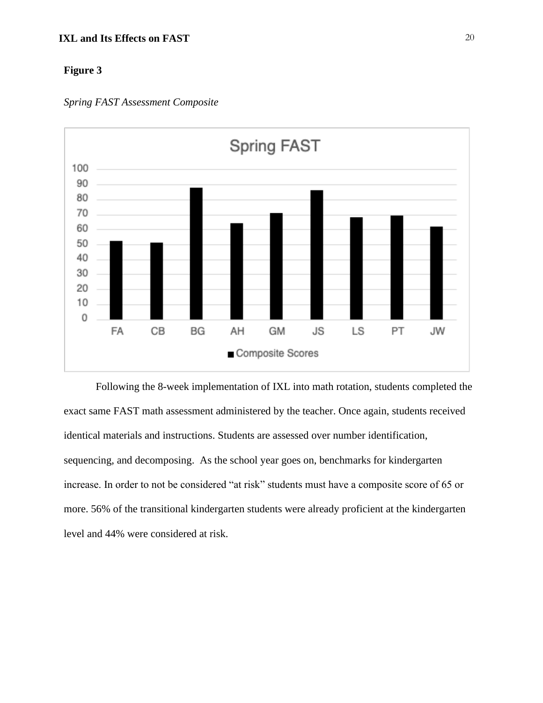

*Spring FAST Assessment Composite*

Following the 8-week implementation of IXL into math rotation, students completed the exact same FAST math assessment administered by the teacher. Once again, students received identical materials and instructions. Students are assessed over number identification, sequencing, and decomposing. As the school year goes on, benchmarks for kindergarten increase. In order to not be considered "at risk" students must have a composite score of 65 or more. 56% of the transitional kindergarten students were already proficient at the kindergarten level and 44% were considered at risk.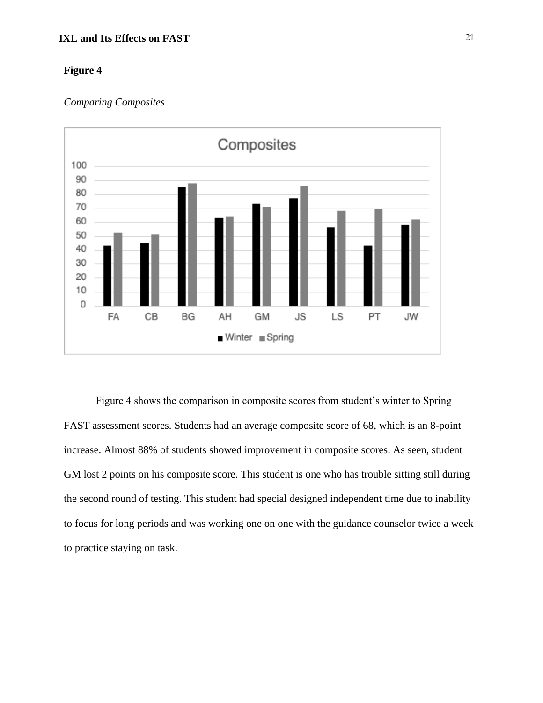# **Figure 4**

#### *Comparing Composites*



Figure 4 shows the comparison in composite scores from student's winter to Spring FAST assessment scores. Students had an average composite score of 68, which is an 8-point increase. Almost 88% of students showed improvement in composite scores. As seen, student GM lost 2 points on his composite score. This student is one who has trouble sitting still during the second round of testing. This student had special designed independent time due to inability to focus for long periods and was working one on one with the guidance counselor twice a week to practice staying on task.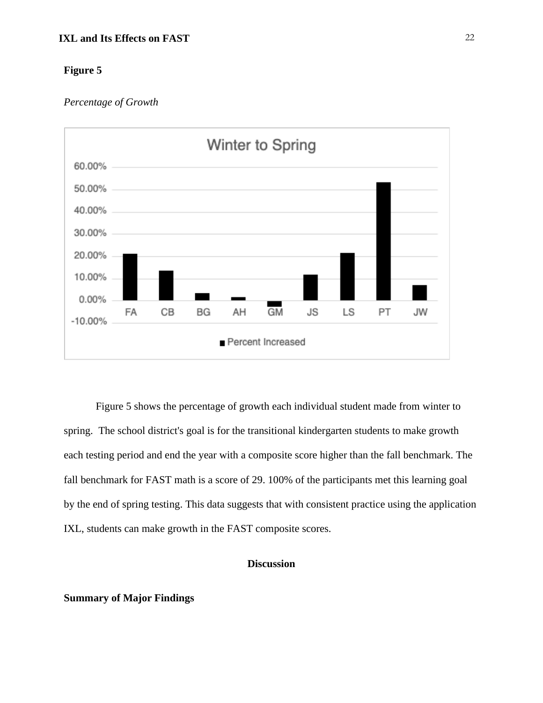#### *Percentage of Growth*



Figure 5 shows the percentage of growth each individual student made from winter to spring. The school district's goal is for the transitional kindergarten students to make growth each testing period and end the year with a composite score higher than the fall benchmark. The fall benchmark for FAST math is a score of 29. 100% of the participants met this learning goal by the end of spring testing. This data suggests that with consistent practice using the application IXL, students can make growth in the FAST composite scores.

# **Discussion**

#### <span id="page-22-1"></span><span id="page-22-0"></span>**Summary of Major Findings**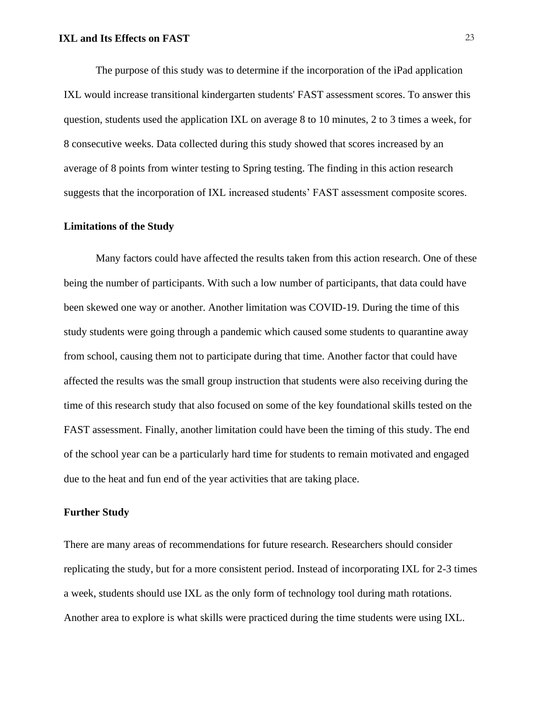The purpose of this study was to determine if the incorporation of the iPad application IXL would increase transitional kindergarten students' FAST assessment scores. To answer this question, students used the application IXL on average 8 to 10 minutes, 2 to 3 times a week, for 8 consecutive weeks. Data collected during this study showed that scores increased by an average of 8 points from winter testing to Spring testing. The finding in this action research suggests that the incorporation of IXL increased students' FAST assessment composite scores.

# <span id="page-23-0"></span>**Limitations of the Study**

Many factors could have affected the results taken from this action research. One of these being the number of participants. With such a low number of participants, that data could have been skewed one way or another. Another limitation was COVID-19. During the time of this study students were going through a pandemic which caused some students to quarantine away from school, causing them not to participate during that time. Another factor that could have affected the results was the small group instruction that students were also receiving during the time of this research study that also focused on some of the key foundational skills tested on the FAST assessment. Finally, another limitation could have been the timing of this study. The end of the school year can be a particularly hard time for students to remain motivated and engaged due to the heat and fun end of the year activities that are taking place.

# <span id="page-23-1"></span>**Further Study**

There are many areas of recommendations for future research. Researchers should consider replicating the study, but for a more consistent period. Instead of incorporating IXL for 2-3 times a week, students should use IXL as the only form of technology tool during math rotations. Another area to explore is what skills were practiced during the time students were using IXL.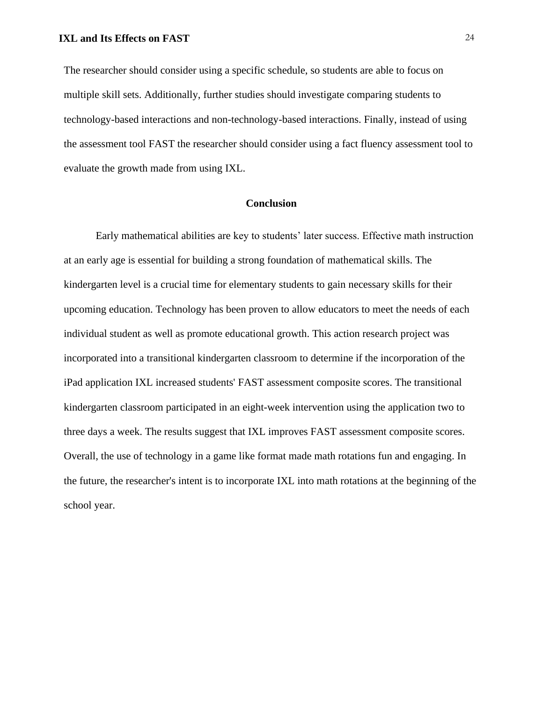The researcher should consider using a specific schedule, so students are able to focus on multiple skill sets. Additionally, further studies should investigate comparing students to technology-based interactions and non-technology-based interactions. Finally, instead of using the assessment tool FAST the researcher should consider using a fact fluency assessment tool to evaluate the growth made from using IXL.

#### **Conclusion**

<span id="page-24-0"></span>Early mathematical abilities are key to students' later success. Effective math instruction at an early age is essential for building a strong foundation of mathematical skills. The kindergarten level is a crucial time for elementary students to gain necessary skills for their upcoming education. Technology has been proven to allow educators to meet the needs of each individual student as well as promote educational growth. This action research project was incorporated into a transitional kindergarten classroom to determine if the incorporation of the iPad application IXL increased students' FAST assessment composite scores. The transitional kindergarten classroom participated in an eight-week intervention using the application two to three days a week. The results suggest that IXL improves FAST assessment composite scores. Overall, the use of technology in a game like format made math rotations fun and engaging. In the future, the researcher's intent is to incorporate IXL into math rotations at the beginning of the school year.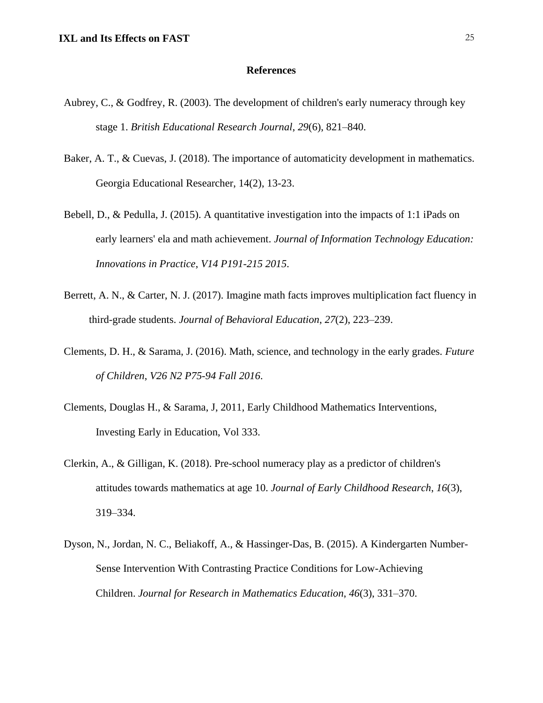#### **References**

- <span id="page-25-0"></span>Aubrey, C., & Godfrey, R. (2003). The development of children's early numeracy through key stage 1. *British Educational Research Journal*, *29*(6), 821–840.
- Baker, A. T., & Cuevas, J. (2018). The importance of automaticity development in mathematics. Georgia Educational Researcher, 14(2), 13-23.
- Bebell, D., & Pedulla, J. (2015). A quantitative investigation into the impacts of 1:1 iPads on early learners' ela and math achievement. *Journal of Information Technology Education: Innovations in Practice*, *V14 P191-215 2015*.
- Berrett, A. N., & Carter, N. J. (2017). Imagine math facts improves multiplication fact fluency in third-grade students. *Journal of Behavioral Education*, *27*(2), 223–239.
- Clements, D. H., & Sarama, J. (2016). Math, science, and technology in the early grades. *Future of Children*, *V26 N2 P75-94 Fall 2016*.
- Clements, Douglas H., & Sarama, J, 2011, Early Childhood Mathematics Interventions, Investing Early in Education, Vol 333.
- Clerkin, A., & Gilligan, K. (2018). Pre-school numeracy play as a predictor of children's attitudes towards mathematics at age 10. *Journal of Early Childhood Research*, *16*(3), 319–334.
- Dyson, N., Jordan, N. C., Beliakoff, A., & Hassinger-Das, B. (2015). A Kindergarten Number-Sense Intervention With Contrasting Practice Conditions for Low-Achieving Children. *Journal for Research in Mathematics Education*, *46*(3), 331–370.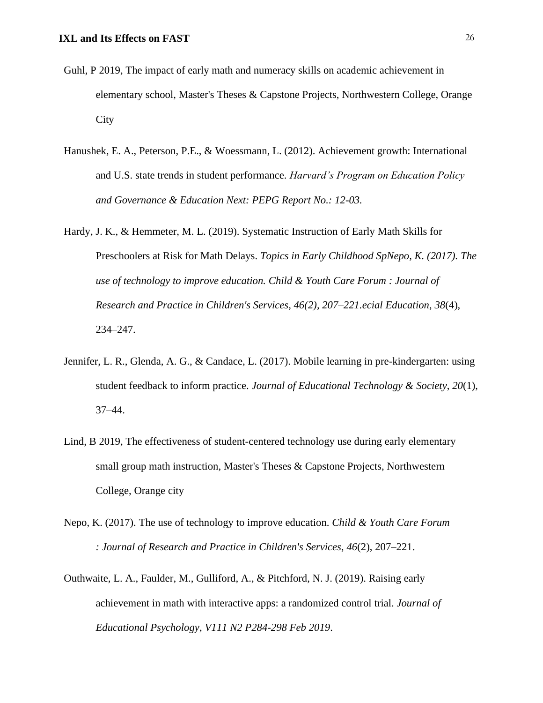- Guhl, P 2019, The impact of early math and numeracy skills on academic achievement in elementary school, Master's Theses & Capstone Projects, Northwestern College, Orange City
- Hanushek, E. A., Peterson, P.E., & Woessmann, L. (2012). Achievement growth: International and U.S. state trends in student performance. *Harvard's Program on Education Policy and Governance & Education Next: PEPG Report No.: 12-03.*
- Hardy, J. K., & Hemmeter, M. L. (2019). Systematic Instruction of Early Math Skills for Preschoolers at Risk for Math Delays. *Topics in Early Childhood SpNepo, K. (2017). The use of technology to improve education. Child & Youth Care Forum : Journal of Research and Practice in Children's Services, 46(2), 207–221.ecial Education*, *38*(4), 234–247.
- Jennifer, L. R., Glenda, A. G., & Candace, L. (2017). Mobile learning in pre-kindergarten: using student feedback to inform practice. *Journal of Educational Technology & Society*, *20*(1), 37–44.
- Lind, B 2019, The effectiveness of student-centered technology use during early elementary small group math instruction, Master's Theses & Capstone Projects, Northwestern College, Orange city
- Nepo, K. (2017). The use of technology to improve education. *Child & Youth Care Forum : Journal of Research and Practice in Children's Services*, *46*(2), 207–221.
- Outhwaite, L. A., Faulder, M., Gulliford, A., & Pitchford, N. J. (2019). Raising early achievement in math with interactive apps: a randomized control trial. *Journal of Educational Psychology*, *V111 N2 P284-298 Feb 2019*.